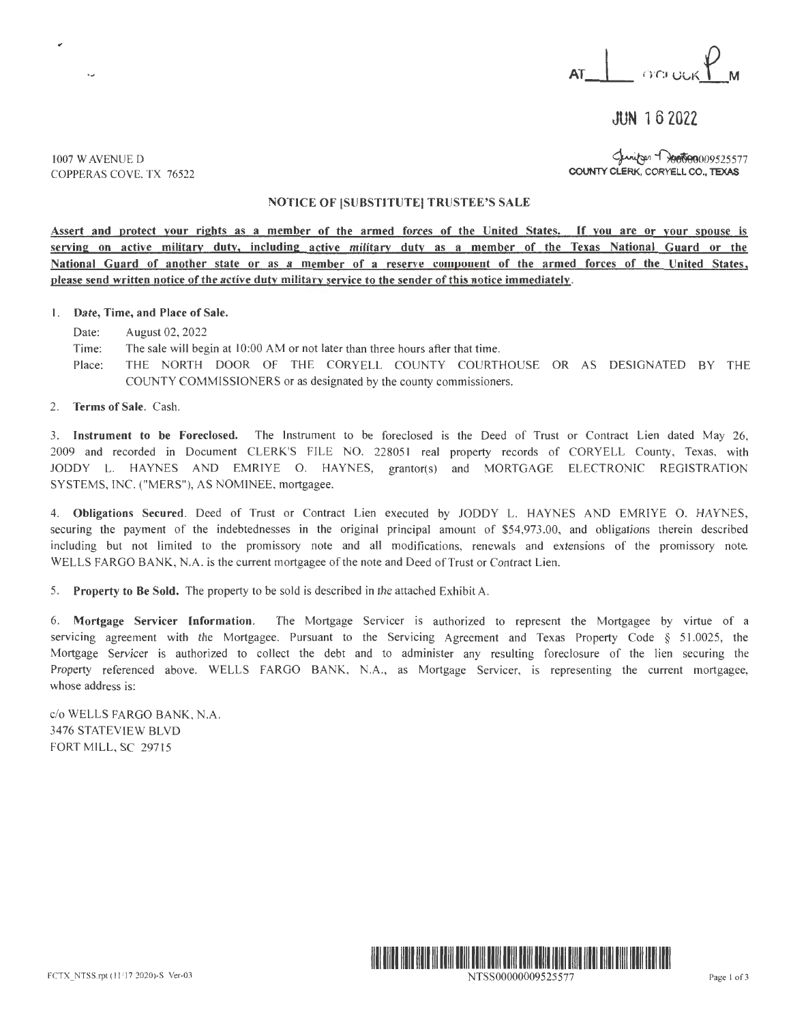

 $JUN 16 7022$ 

1007 W AVENUE D COPPERAS COVE, TX 76522

 $\ddot{\phantom{0}}$ 

Spanitsen Trooto00009525577 COUNTY CLERK, CORYELL CO., TEXAS

## NOTICE OF ISUBSTITUTE! TRUSTEE'S SALE

**Assert and protect your rights as a member of the armed forces of the United States.** If **you are or your spouse** is serving on active military duty, including active military duty as a member of the Texas National Guard or the **ational Guard of another state or as a member of a reserve component of the armed forces of the United States, please send written notice of the active duty military service to the sender of this notice immediately.** 

## I. **Date, Time, and Place of Sale.**

Date: August 02, 2022

- Time: The sale will begin at 10:00 AM or not later than three hours after that time.
- Place: THE NORTH DOOR OF THE CORYELL COUNTY COURTHOUSE OR AS DESIGNATED BY THE COUNTY COMMISSIONERS or as designated by the county commissioners.
- 2. **Terms of Sale.** Cash.

3. **Instrument to be Foreclosed.** The Instrument to be foreclosed is the Deed of Trust or Contract Lien dated May 26, 2009 and recorded in Document CLERK'S FILE NO. 228051 real property records of CORYELL County, Texas, with JODDY L. HAYNES AND EMRIYE O. HAYNES, grantor(s) and MORTGAGE ELECTRONIC REGISTRATION SYSTEMS, INC. ("MERS"), AS NOMINEE, mortgagee.

4. Obligations Secured. Deed of Trust or Contract Lien executed by JODDY L. HAYNES AND EMRIYE O. HAYNES, securing the payment of the indebtednesses in the original principal amount of \$54,973.00, and obligations therein described including but not limited to the promissory note and all modifications, renewals and extensions of the promissory note. WELLS FARGO BANK, N.A. is the current mortgagee of the note and Deed of Trust or Contract Lien.

5. **Property to Be Sold.** The property to be sold is described in the attached Exhibit A.

6. **Mortgage Servicer Information .** The Mortgage Servicer is authorized to represent the Mortgagee by virtue of a servicing agreement with the Mortgagee. Pursuant to the Servicing Agreement and Texas Property Code § 51.0025, the Mortgage Servicer is authorized to collect the debt and to administer any resulting foreclosure of the lien securing the Property referenced above. WELLS FARGO BANK, N.A., as Mortgage Servicer, is representing the current mortgagee, whose address is:

c/o WELLS FARGO BANK, N.A. 3476 STATEVIEW BLVD FORT MILL, SC 29715



NTSS00000009525577 Page I of3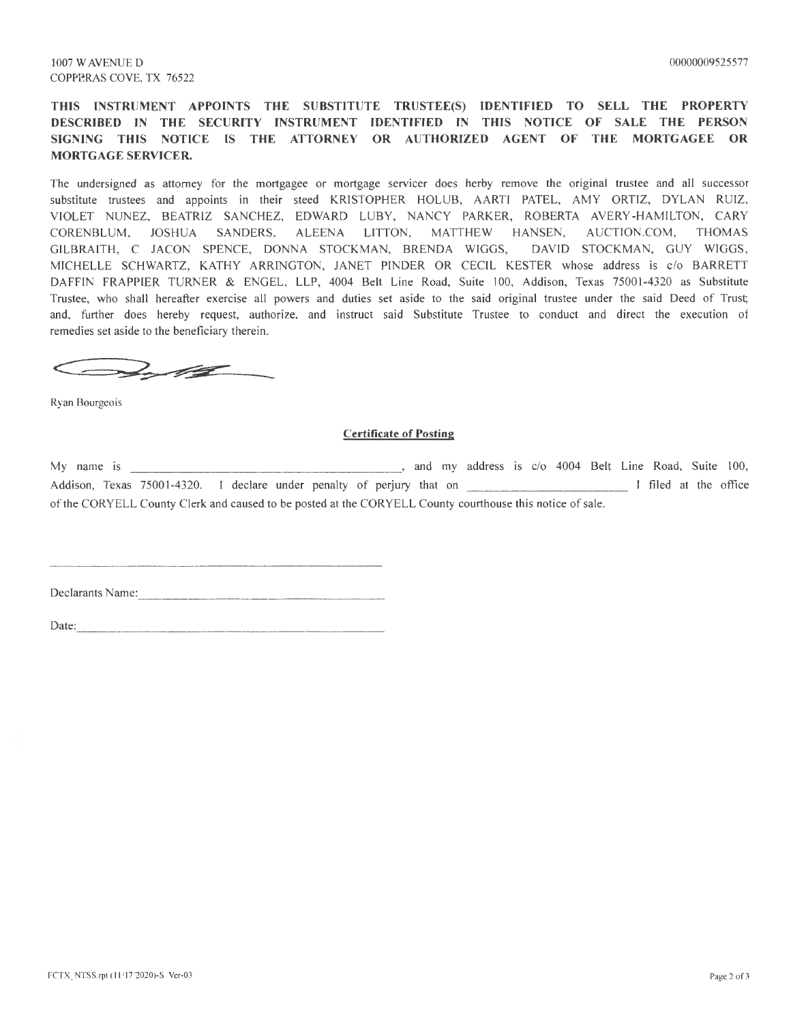**THIS INSTRUMENT APPOINTS THE SUBSTITUTE TRUSTEE(S) IDENTIFIED TO SELL THE PROPERTY DESCRIBED IN THE SECURITY INSTRUMENT IDENTIFIED IN THIS NOTICE OF SALE THE PERSON SIGNING THIS NOTICE IS THE ATTORNEY OR AUTHORIZED AGENT OF THE MORTGAGEE OR MORTGAGE SERVICER.** 

The undersigned as attorney for the mortgagee or mortgage servicer does herby remove the original trustee and all successor substitute trustees and appoints in their steed KRISTOPHER HOLUB, AARTI PATEL, AMY ORTIZ, DYLAN RUIZ, VIOLET NUNEZ, BEATRIZ SANCHEZ, EDWARD LUBY, NANCY PARKER, ROBERTA AVERY-HAMILTON, CARY CORENBLUM, JOSHUA SANDERS, ALEENA LITTON, MATTHEW HANSEN, AUCTION.COM, THOMAS GILBRAITH, C JACON SPENCE, DONNA STOCKMAN, BRENDA WIGGS, DAVID STOCKMAN, GUY WIGGS, MICHELLE SCHWARTZ, KATHY ARRINGTON, JANET PINDER OR CECIL KESTER whose address is c/o BARRETT DAFFIN FRAPPIER TURNER & ENGEL, LLP, 4004 Belt Line Road, Suite 100, Addison, Texas 75001-4320 as Substitute Trustee, who shall hereafter exercise all powers and duties set aside to the said original trustee under the said Deed of Trust; and, further does hereby request, authorize, and instruct said Substitute Trustee to conduct and direct the execution of remedies set aside to the beneficiary therein.

**~iil!a·::..---·---**

Ryan Bourgeois

## **Certificate of Posting**

My name is and my address is  $c/o$  4004 Belt Line Road, Suite 100, Addison, Texas 75001-4320. I declare under penalty of perjury that on I filed at the office of the CORYELL County Clerk and caused to be posted at the CORYELL County courthouse this notice of sale.

Declarants Name:  $\frac{1}{2}$  Name:  $\frac{1}{2}$  Name:  $\frac{1}{2}$  Name:  $\frac{1}{2}$  Name:  $\frac{1}{2}$  Name:  $\frac{1}{2}$  Name:  $\frac{1}{2}$  Name:  $\frac{1}{2}$  Name:  $\frac{1}{2}$  Name:  $\frac{1}{2}$  Name:  $\frac{1}{2}$  Name:  $\frac{1}{2}$  Name:  $\frac{1}{2}$  Nam

 $Date:$